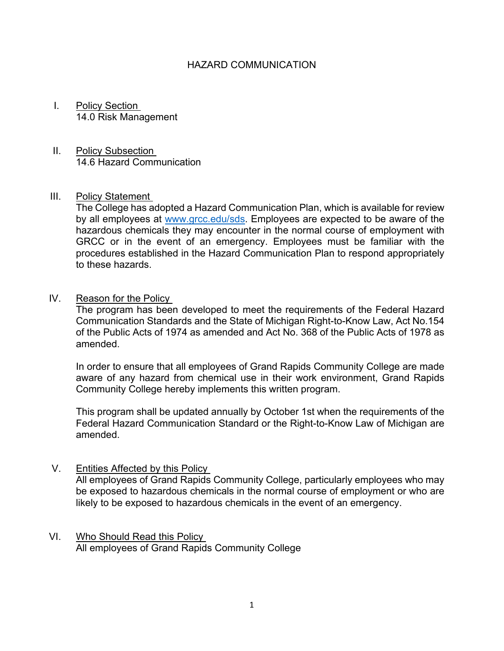## HAZARD COMMUNICATION

- I. Policy Section 14.0 Risk Management
- II. Policy Subsection 14.6 Hazard Communication

## III. Policy Statement

The College has adopted a Hazard Communication Plan, which is available for review by all employees at [www.grcc.edu/sds.](http://www.grcc.edu/sds) Employees are expected to be aware of the hazardous chemicals they may encounter in the normal course of employment with GRCC or in the event of an emergency. Employees must be familiar with the procedures established in the Hazard Communication Plan to respond appropriately to these hazards.

IV. Reason for the Policy

The program has been developed to meet the requirements of the Federal Hazard Communication Standards and the State of Michigan Right-to-Know Law, Act No.154 of the Public Acts of 1974 as amended and Act No. 368 of the Public Acts of 1978 as amended.

In order to ensure that all employees of Grand Rapids Community College are made aware of any hazard from chemical use in their work environment, Grand Rapids Community College hereby implements this written program.

This program shall be updated annually by October 1st when the requirements of the Federal Hazard Communication Standard or the Right-to-Know Law of Michigan are amended.

- V. Entities Affected by this Policy All employees of Grand Rapids Community College, particularly employees who may be exposed to hazardous chemicals in the normal course of employment or who are likely to be exposed to hazardous chemicals in the event of an emergency.
- VI. Who Should Read this Policy All employees of Grand Rapids Community College